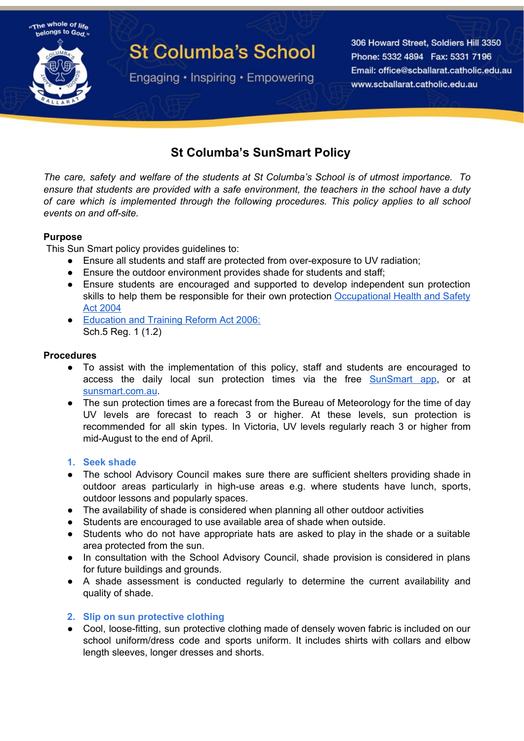

# **St Columba's School**

Engaging • Inspiring • Empowering

306 Howard Street, Soldiers Hill 3350 Phone: 5332 4894 Fax: 5331 7196 Email: office@scballarat.catholic.edu.au www.scballarat.catholic.edu.au

# **St Columba's SunSmart Policy**

*The care, safety and welfare of the students at St Columba's School is of utmost importance. To ensure that students are provided with a safe environment, the teachers in the school have a duty of care which is implemented through the following procedures. This policy applies to all school events on and off-site.*

# **Purpose**

This Sun Smart policy provides guidelines to:

- Ensure all students and staff are protected from over-exposure to UV radiation;
- Ensure the outdoor environment provides shade for students and staff;
- Ensure students are encouraged and supported to develop independent sun protection skills to help them be responsible for their own protection [Occupational](http://www.legislation.vic.gov.au/Domino/Web_Notes/LDMS/PubStatbook.nsf/f932b66241ecf1b7ca256e92000e23be/750e0d9e0b2b387fca256f71001fa7be/$FILE/04-107A.pdf) Health and Safety Act [2004](http://www.legislation.vic.gov.au/Domino/Web_Notes/LDMS/PubStatbook.nsf/f932b66241ecf1b7ca256e92000e23be/750e0d9e0b2b387fca256f71001fa7be/$FILE/04-107A.pdf)
- [Education](https://www.education.vic.gov.au/about/department/legislation/Pages/act2006regs.aspx) and Training Reform Act 2006: Sch.5 Reg. 1 (1.2)

#### **Procedures**

- To assist with the implementation of this policy, staff and students are encouraged to access the daily local sun protection times via the free [SunSmart](http://www.sunsmart.com.au/tools/interactive-tools/free-sunsmart-app) app, or at [sunsmart.com.au.](https://www.sunsmart.com.au/)
- The sun protection times are a forecast from the Bureau of Meteorology for the time of day UV levels are forecast to reach 3 or higher. At these levels, sun protection is recommended for all skin types. In Victoria, UV levels regularly reach 3 or higher from mid-August to the end of April.

#### **1. Seek shade**

- The school Advisory Council makes sure there are sufficient shelters providing shade in outdoor areas particularly in high-use areas e.g. where students have lunch, sports, outdoor lessons and popularly spaces.
- The availability of shade is considered when planning all other outdoor activities
- Students are encouraged to use available area of shade when outside.
- Students who do not have appropriate hats are asked to play in the shade or a suitable area protected from the sun.
- In consultation with the School Advisory Council, shade provision is considered in plans for future buildings and grounds.
- A shade assessment is conducted regularly to determine the current availability and quality of shade.

#### **2. Slip on sun protective clothing**

• Cool, loose-fitting, sun protective clothing made of densely woven fabric is included on our school uniform/dress code and sports uniform. It includes shirts with collars and elbow length sleeves, longer dresses and shorts.